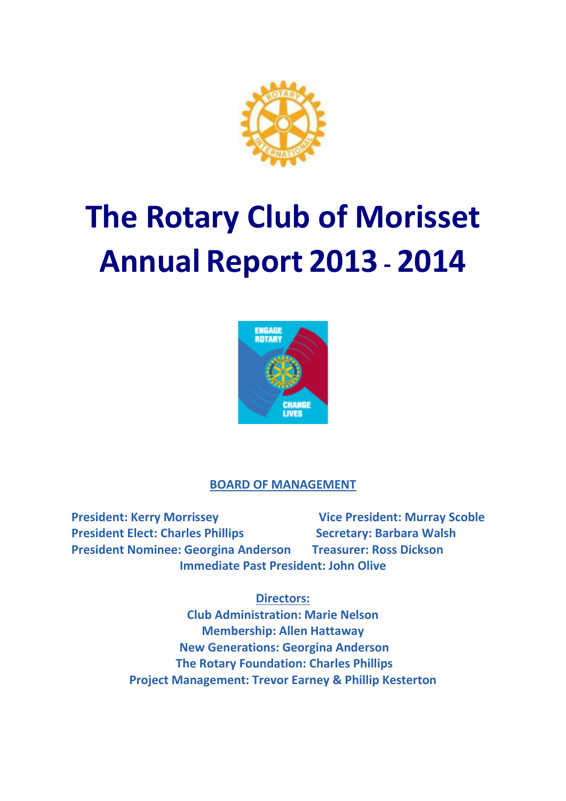

# **The Rotary Club of Morisset Annual Report 2013 - 2014**



## **BOARD OF MANAGEMENT**

President: Kerry Morrissey **Vice President: Murray Scoble President Elect: Charles Phillips Secretary: Barbara Walsh President Nominee: Georgina Anderson Treasurer: Ross Dickson Immediate Past President: John Olive**

## **Directors:**

**Club Administration: Marie Nelson Membership: Allen Hattaway New Generations: Georgina Anderson The Rotary Foundation: Charles Phillips Project Management: Trevor Earney & Phillip Kesterton**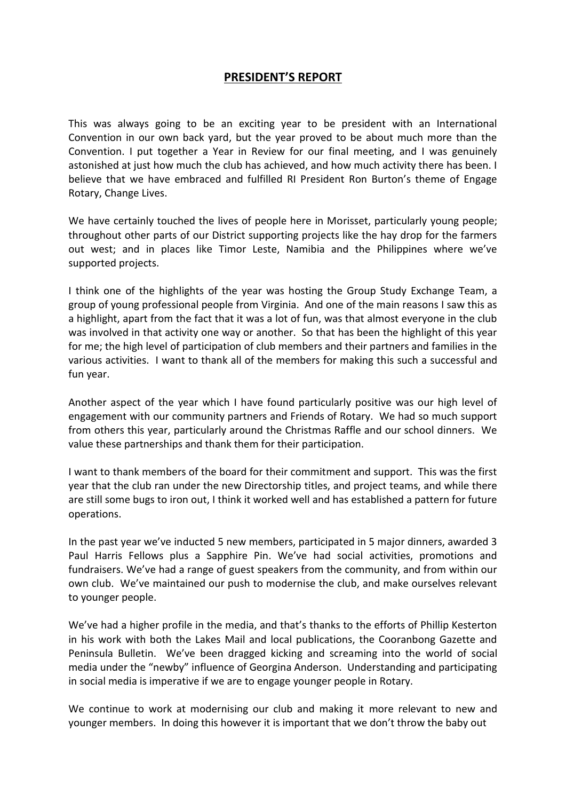#### **PRESIDENT'S REPORT**

This was always going to be an exciting year to be president with an International Convention in our own back yard, but the year proved to be about much more than the Convention. I put together a Year in Review for our final meeting, and I was genuinely astonished at just how much the club has achieved, and how much activity there has been. I believe that we have embraced and fulfilled RI President Ron Burton's theme of Engage Rotary, Change Lives.

We have certainly touched the lives of people here in Morisset, particularly young people; throughout other parts of our District supporting projects like the hay drop for the farmers out west; and in places like Timor Leste, Namibia and the Philippines where we've supported projects.

I think one of the highlights of the year was hosting the Group Study Exchange Team, a group of young professional people from Virginia. And one of the main reasons I saw this as a highlight, apart from the fact that it was a lot of fun, was that almost everyone in the club was involved in that activity one way or another. So that has been the highlight of this year for me; the high level of participation of club members and their partners and families in the various activities. I want to thank all of the members for making this such a successful and fun year.

Another aspect of the year which I have found particularly positive was our high level of engagement with our community partners and Friends of Rotary. We had so much support from others this year, particularly around the Christmas Raffle and our school dinners. We value these partnerships and thank them for their participation.

I want to thank members of the board for their commitment and support. This was the first year that the club ran under the new Directorship titles, and project teams, and while there are still some bugs to iron out, I think it worked well and has established a pattern for future operations.

In the past year we've inducted 5 new members, participated in 5 major dinners, awarded 3 Paul Harris Fellows plus a Sapphire Pin. We've had social activities, promotions and fundraisers. We've had a range of guest speakers from the community, and from within our own club. We've maintained our push to modernise the club, and make ourselves relevant to younger people.

We've had a higher profile in the media, and that's thanks to the efforts of Phillip Kesterton in his work with both the Lakes Mail and local publications, the Cooranbong Gazette and Peninsula Bulletin. We've been dragged kicking and screaming into the world of social media under the "newby" influence of Georgina Anderson. Understanding and participating in social media is imperative if we are to engage younger people in Rotary.

We continue to work at modernising our club and making it more relevant to new and younger members. In doing this however it is important that we don't throw the baby out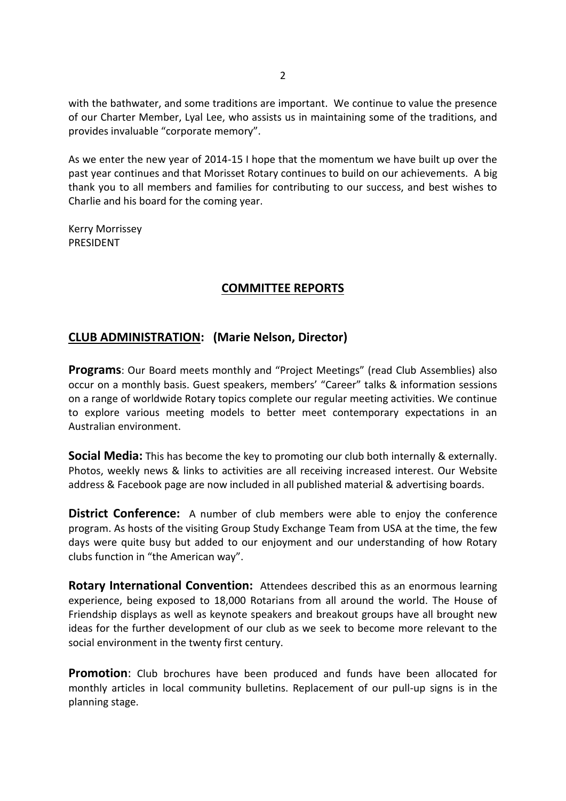with the bathwater, and some traditions are important. We continue to value the presence of our Charter Member, Lyal Lee, who assists us in maintaining some of the traditions, and provides invaluable "corporate memory".

As we enter the new year of 2014-15 I hope that the momentum we have built up over the past year continues and that Morisset Rotary continues to build on our achievements. A big thank you to all members and families for contributing to our success, and best wishes to Charlie and his board for the coming year.

Kerry Morrissey PRESIDENT

#### **COMMITTEE REPORTS**

#### **CLUB ADMINISTRATION: (Marie Nelson, Director)**

**Programs**: Our Board meets monthly and "Project Meetings" (read Club Assemblies) also occur on a monthly basis. Guest speakers, members' "Career" talks & information sessions on a range of worldwide Rotary topics complete our regular meeting activities. We continue to explore various meeting models to better meet contemporary expectations in an Australian environment.

**Social Media:** This has become the key to promoting our club both internally & externally. Photos, weekly news & links to activities are all receiving increased interest. Our Website address & Facebook page are now included in all published material & advertising boards.

**District Conference:** A number of club members were able to enjoy the conference program. As hosts of the visiting Group Study Exchange Team from USA at the time, the few days were quite busy but added to our enjoyment and our understanding of how Rotary clubs function in "the American way".

**Rotary International Convention:** Attendees described this as an enormous learning experience, being exposed to 18,000 Rotarians from all around the world. The House of Friendship displays as well as keynote speakers and breakout groups have all brought new ideas for the further development of our club as we seek to become more relevant to the social environment in the twenty first century.

**Promotion**: Club brochures have been produced and funds have been allocated for monthly articles in local community bulletins. Replacement of our pull-up signs is in the planning stage.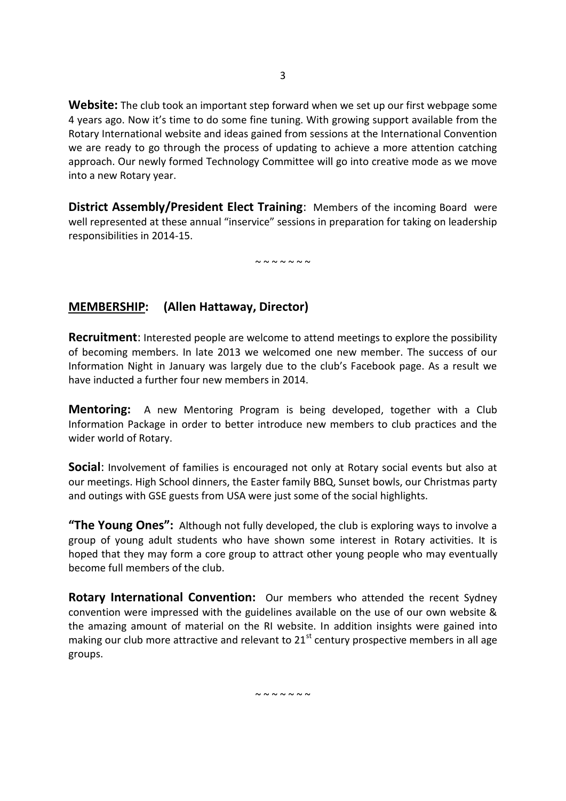**Website:** The club took an important step forward when we set up our first webpage some 4 years ago. Now it's time to do some fine tuning. With growing support available from the Rotary International website and ideas gained from sessions at the International Convention we are ready to go through the process of updating to achieve a more attention catching approach. Our newly formed Technology Committee will go into creative mode as we move into a new Rotary year.

**District Assembly/President Elect Training:** Members of the incoming Board were well represented at these annual "inservice" sessions in preparation for taking on leadership responsibilities in 2014-15.

 $\sim$   $\sim$   $\sim$   $\sim$   $\sim$   $\sim$ 

#### **MEMBERSHIP: (Allen Hattaway, Director)**

**Recruitment**: Interested people are welcome to attend meetings to explore the possibility of becoming members. In late 2013 we welcomed one new member. The success of our Information Night in January was largely due to the club's Facebook page. As a result we have inducted a further four new members in 2014.

**Mentoring:** A new Mentoring Program is being developed, together with a Club Information Package in order to better introduce new members to club practices and the wider world of Rotary.

**Social:** Involvement of families is encouraged not only at Rotary social events but also at our meetings. High School dinners, the Easter family BBQ, Sunset bowls, our Christmas party and outings with GSE guests from USA were just some of the social highlights.

**"The Young Ones":** Although not fully developed, the club is exploring ways to involve a group of young adult students who have shown some interest in Rotary activities. It is hoped that they may form a core group to attract other young people who may eventually become full members of the club.

**Rotary International Convention:** Our members who attended the recent Sydney convention were impressed with the guidelines available on the use of our own website & the amazing amount of material on the RI website. In addition insights were gained into making our club more attractive and relevant to  $21<sup>st</sup>$  century prospective members in all age groups.

 $\sim$   $\sim$   $\sim$   $\sim$   $\sim$   $\sim$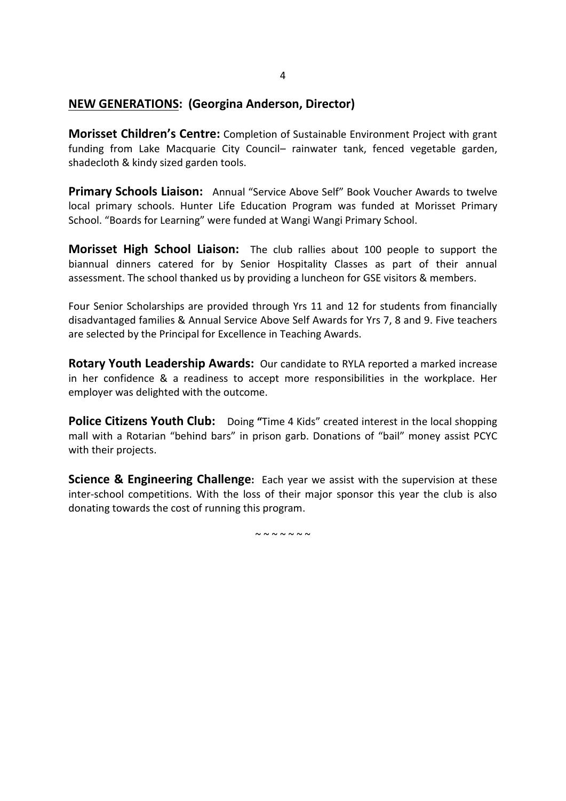#### **NEW GENERATIONS: (Georgina Anderson, Director)**

**Morisset Children's Centre:** Completion of Sustainable Environment Project with grant funding from Lake Macquarie City Council– rainwater tank, fenced vegetable garden, shadecloth & kindy sized garden tools.

**Primary Schools Liaison:** Annual "Service Above Self" Book Voucher Awards to twelve local primary schools. Hunter Life Education Program was funded at Morisset Primary School. "Boards for Learning" were funded at Wangi Wangi Primary School.

**Morisset High School Liaison:** The club rallies about 100 people to support the biannual dinners catered for by Senior Hospitality Classes as part of their annual assessment. The school thanked us by providing a luncheon for GSE visitors & members.

Four Senior Scholarships are provided through Yrs 11 and 12 for students from financially disadvantaged families & Annual Service Above Self Awards for Yrs 7, 8 and 9. Five teachers are selected by the Principal for Excellence in Teaching Awards.

**Rotary Youth Leadership Awards:** Our candidate to RYLA reported a marked increase in her confidence & a readiness to accept more responsibilities in the workplace. Her employer was delighted with the outcome.

**Police Citizens Youth Club:** Doing **"**Time 4 Kids" created interest in the local shopping mall with a Rotarian "behind bars" in prison garb. Donations of "bail" money assist PCYC with their projects.

**Science & Engineering Challenge:** Each year we assist with the supervision at these inter-school competitions. With the loss of their major sponsor this year the club is also donating towards the cost of running this program.

 $\sim$   $\sim$   $\sim$   $\sim$   $\sim$   $\sim$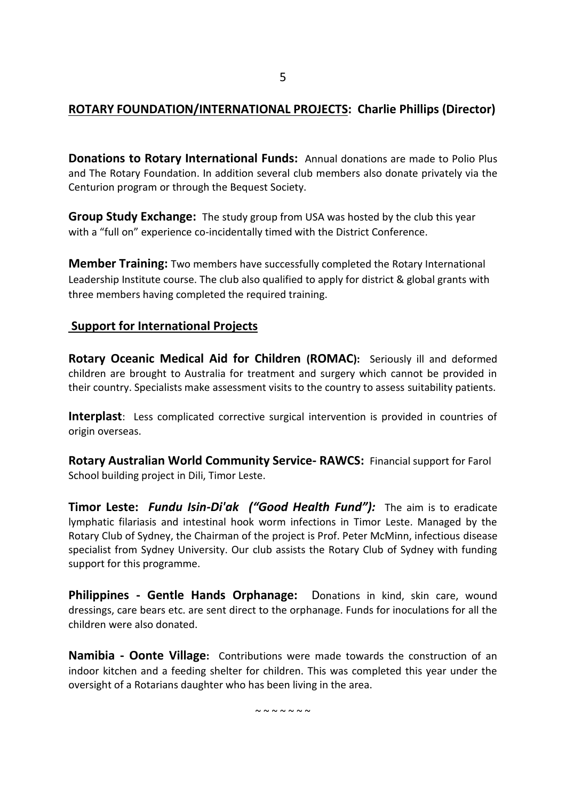### **ROTARY FOUNDATION/INTERNATIONAL PROJECTS: Charlie Phillips (Director)**

**Donations to Rotary International Funds:** Annual donations are made to Polio Plus and The Rotary Foundation. In addition several club members also donate privately via the Centurion program or through the Bequest Society.

**Group Study Exchange:** The study group from USA was hosted by the club this year with a "full on" experience co-incidentally timed with the District Conference.

**Member Training:** Two members have successfully completed the Rotary International Leadership Institute course. The club also qualified to apply for district & global grants with three members having completed the required training.

#### **Support for International Projects**

**Rotary Oceanic Medical Aid for Children (ROMAC):** Seriously ill and deformed children are brought to Australia for treatment and surgery which cannot be provided in their country. Specialists make assessment visits to the country to assess suitability patients.

**Interplast**: Less complicated corrective surgical intervention is provided in countries of origin overseas.

**Rotary Australian World Community Service- RAWCS:** Financial support for Farol School building project in Dili, Timor Leste.

**Timor Leste:** *Fundu Isin-Di'ak ("Good Health Fund"):* The aim is to eradicate lymphatic filariasis and intestinal hook worm infections in Timor Leste. Managed by the Rotary Club of Sydney, the Chairman of the project is Prof. Peter McMinn, infectious disease specialist from Sydney University. Our club assists the Rotary Club of Sydney with funding support for this programme.

**Philippines - Gentle Hands Orphanage:** Donations in kind, skin care, wound dressings, care bears etc. are sent direct to the orphanage. Funds for inoculations for all the children were also donated.

**Namibia - Oonte Village:** Contributions were made towards the construction of an indoor kitchen and a feeding shelter for children. This was completed this year under the oversight of a Rotarians daughter who has been living in the area.

 $\sim$   $\sim$   $\sim$   $\sim$   $\sim$   $\sim$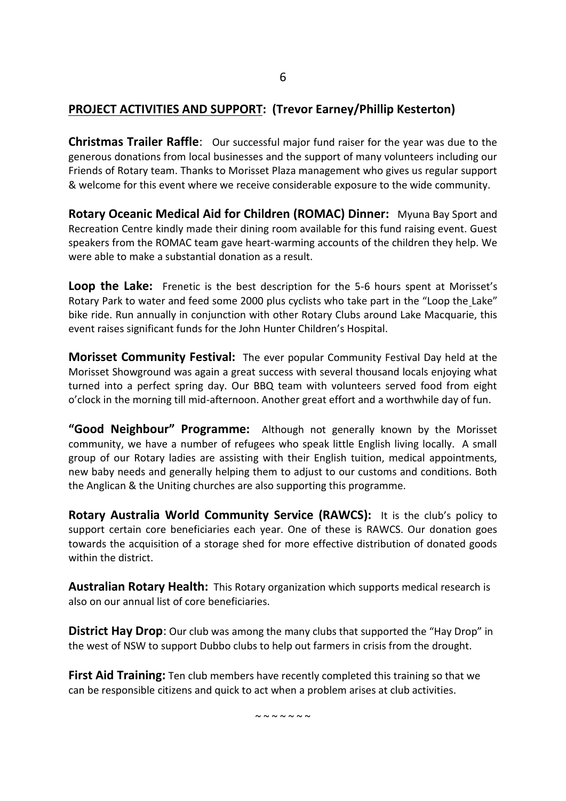## **PROJECT ACTIVITIES AND SUPPORT: (Trevor Earney/Phillip Kesterton)**

**Christmas Trailer Raffle**: Our successful major fund raiser for the year was due to the generous donations from local businesses and the support of many volunteers including our Friends of Rotary team. Thanks to Morisset Plaza management who gives us regular support & welcome for this event where we receive considerable exposure to the wide community.

**Rotary Oceanic Medical Aid for Children (ROMAC) Dinner:** Myuna Bay Sport and Recreation Centre kindly made their dining room available for this fund raising event. Guest speakers from the ROMAC team gave heart-warming accounts of the children they help. We were able to make a substantial donation as a result.

**Loop the Lake:** Frenetic is the best description for the 5-6 hours spent at Morisset's Rotary Park to water and feed some 2000 plus cyclists who take part in the "Loop the Lake" bike ride. Run annually in conjunction with other Rotary Clubs around Lake Macquarie, this event raises significant funds for the John Hunter Children's Hospital.

**Morisset Community Festival:** The ever popular Community Festival Day held at the Morisset Showground was again a great success with several thousand locals enjoying what turned into a perfect spring day. Our BBQ team with volunteers served food from eight o'clock in the morning till mid-afternoon. Another great effort and a worthwhile day of fun.

**"Good Neighbour" Programme:** Although not generally known by the Morisset community, we have a number of refugees who speak little English living locally. A small group of our Rotary ladies are assisting with their English tuition, medical appointments, new baby needs and generally helping them to adjust to our customs and conditions. Both the Anglican & the Uniting churches are also supporting this programme.

**Rotary Australia World Community Service (RAWCS):** It is the club's policy to support certain core beneficiaries each year. One of these is RAWCS. Our donation goes towards the acquisition of a storage shed for more effective distribution of donated goods within the district.

**Australian Rotary Health:** This Rotary organization which supports medical research is also on our annual list of core beneficiaries.

**District Hay Drop:** Our club was among the many clubs that supported the "Hay Drop" in the west of NSW to support Dubbo clubs to help out farmers in crisis from the drought.

**First Aid Training:** Ten club members have recently completed this training so that we can be responsible citizens and quick to act when a problem arises at club activities.

 $\sim$  ~ ~ ~ ~ ~